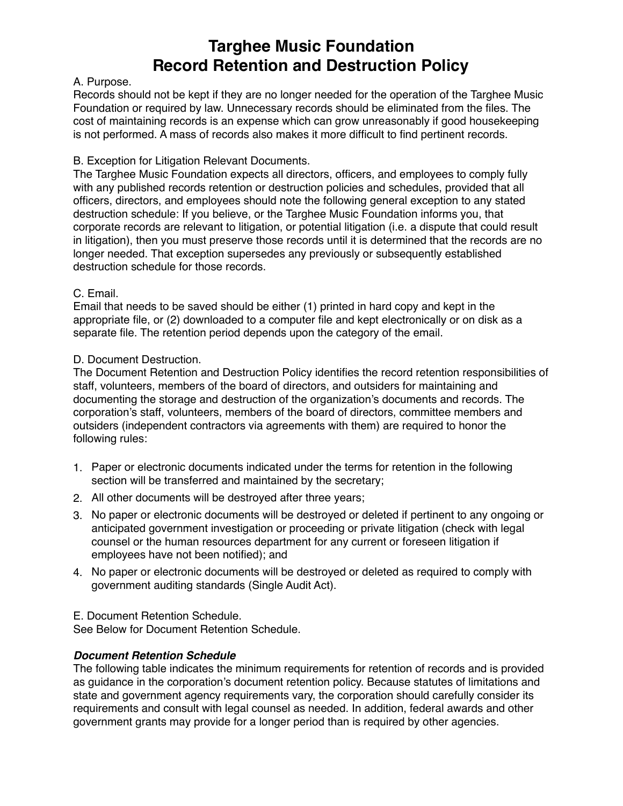## **Targhee Music Foundation Record Retention and Destruction Policy**

### A. Purpose.

Records should not be kept if they are no longer needed for the operation of the Targhee Music Foundation or required by law. Unnecessary records should be eliminated from the files. The cost of maintaining records is an expense which can grow unreasonably if good housekeeping is not performed. A mass of records also makes it more difficult to find pertinent records.

#### B. Exception for Litigation Relevant Documents.

The Targhee Music Foundation expects all directors, officers, and employees to comply fully with any published records retention or destruction policies and schedules, provided that all officers, directors, and employees should note the following general exception to any stated destruction schedule: If you believe, or the Targhee Music Foundation informs you, that corporate records are relevant to litigation, or potential litigation (i.e. a dispute that could result in litigation), then you must preserve those records until it is determined that the records are no longer needed. That exception supersedes any previously or subsequently established destruction schedule for those records.

### C. Email.

Email that needs to be saved should be either (1) printed in hard copy and kept in the appropriate file, or (2) downloaded to a computer file and kept electronically or on disk as a separate file. The retention period depends upon the category of the email.

### D. Document Destruction.

The Document Retention and Destruction Policy identifies the record retention responsibilities of staff, volunteers, members of the board of directors, and outsiders for maintaining and documenting the storage and destruction of the organization's documents and records. The corporation's staff, volunteers, members of the board of directors, committee members and outsiders (independent contractors via agreements with them) are required to honor the following rules:

- 1. Paper or electronic documents indicated under the terms for retention in the following section will be transferred and maintained by the secretary;
- 2. All other documents will be destroyed after three years;
- 3. No paper or electronic documents will be destroyed or deleted if pertinent to any ongoing or anticipated government investigation or proceeding or private litigation (check with legal counsel or the human resources department for any current or foreseen litigation if employees have not been notified); and
- 4. No paper or electronic documents will be destroyed or deleted as required to comply with government auditing standards (Single Audit Act).

E. Document Retention Schedule.

See Below for Document Retention Schedule.

### *Document Retention Schedule*

The following table indicates the minimum requirements for retention of records and is provided as guidance in the corporation's document retention policy. Because statutes of limitations and state and government agency requirements vary, the corporation should carefully consider its requirements and consult with legal counsel as needed. In addition, federal awards and other government grants may provide for a longer period than is required by other agencies.